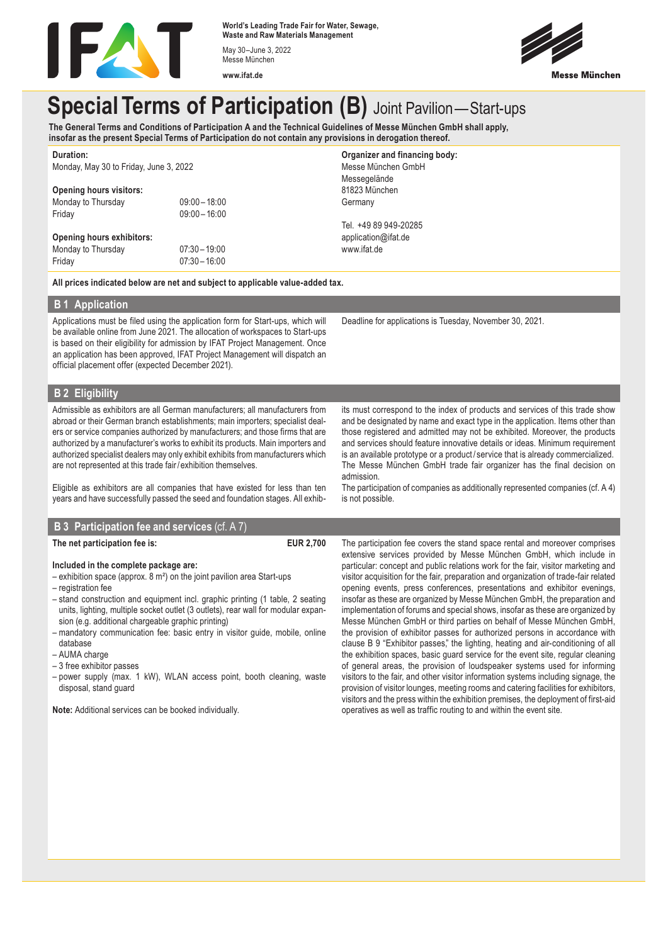

**World's Leading Trade Fair for Water, Sewage, Waste and Raw Materials Management** May 30–June 3, 2022

Messe München **www.ifat.de**



# **Special Terms of Participation (B)** Joint Pavilion—Start-ups

**The General Terms and Conditions of Participation A and the Technical Guidelines of Messe München GmbH shall apply, insofar as the present Special Terms of Participation do not contain any provisions in derogation thereof.**

| Duration:                                                                |                 | Organizer and financing body: |
|--------------------------------------------------------------------------|-----------------|-------------------------------|
| Monday, May 30 to Friday, June 3, 2022<br><b>Opening hours visitors:</b> |                 | Messe München GmbH            |
|                                                                          |                 | Messegelände                  |
|                                                                          |                 | 81823 München                 |
| Monday to Thursday                                                       | $09:00 - 18:00$ | Germany                       |
| Friday                                                                   | $09:00 - 16:00$ |                               |
|                                                                          |                 | Tel. +49 89 949-20285         |
| <b>Opening hours exhibitors:</b>                                         |                 | application@ifat.de           |
| Monday to Thursday                                                       | $07:30 - 19:00$ | www.ifat.de                   |
| Friday                                                                   | $07:30 - 16:00$ |                               |

**All prices indicated below are net and subject to applicable value-added tax.**

#### **B 1 Application**

Applications must be filed using the application form for Start-ups, which will be available online from June 2021. The allocation of workspaces to Start-ups is based on their eligibility for admission by IFAT Project Management. Once an application has been approved, IFAT Project Management will dispatch an official placement offer (expected December 2021).

**B 2 Eligibility**

Admissible as exhibitors are all German manufacturers; all manufacturers from abroad or their German branch establishments; main importers; specialist dealers or service companies authorized by manufacturers; and those firms that are authorized by a manufacturer's works to exhibit its products. Main importers and authorized specialist dealers may only exhibit exhibits from manufacturers which are not represented at this trade fair/ exhibition themselves.

Eligible as exhibitors are all companies that have existed for less than ten years and have successfully passed the seed and foundation stages. All exhib-

# **B 3 Participation fee and services** (cf. A 7) **The net participation fee is: EUR 2,700**

#### **Included in the complete package are:**

- $-$  exhibition space (approx. 8 m<sup>2</sup>) on the joint pavilion area Start-ups
- registration fee
- stand construction and equipment incl. graphic printing (1 table, 2 seating units, lighting, multiple socket outlet (3 outlets), rear wall for modular expansion (e.g. additional chargeable graphic printing)
- mandatory communication fee: basic entry in visitor guide, mobile, online database
- AUMA charge
- 3 free exhibitor passes
- power supply (max. 1 kW), WLAN access point, booth cleaning, waste disposal, stand guard

**Note:** Additional services can be booked individually.

its must correspond to the index of products and services of this trade show and be designated by name and exact type in the application. Items other than those registered and admitted may not be exhibited. Moreover, the products and services should feature innovative details or ideas. Minimum requirement is an available prototype or a product / service that is already commercialized. The Messe München GmbH trade fair organizer has the final decision on admission.

The participation of companies as additionally represented companies (cf. A 4) is not possible.

The participation fee covers the stand space rental and moreover comprises extensive services provided by Messe München GmbH, which include in particular: concept and public relations work for the fair, visitor marketing and visitor acquisition for the fair, preparation and organization of trade-fair related opening events, press conferences, presentations and exhibitor evenings, insofar as these are organized by Messe München GmbH, the preparation and implementation of forums and special shows, insofar as these are organized by Messe München GmbH or third parties on behalf of Messe München GmbH, the provision of exhibitor passes for authorized persons in accordance with clause B 9 "Exhibitor passes," the lighting, heating and air-conditioning of all the exhibition spaces, basic guard service for the event site, regular cleaning of general areas, the provision of loudspeaker systems used for informing visitors to the fair, and other visitor information systems including signage, the provision of visitor lounges, meeting rooms and catering facilities for exhibitors, visitors and the press within the exhibition premises, the deployment of first-aid operatives as well as traffic routing to and within the event site.

Deadline for applications is Tuesday, November 30, 2021.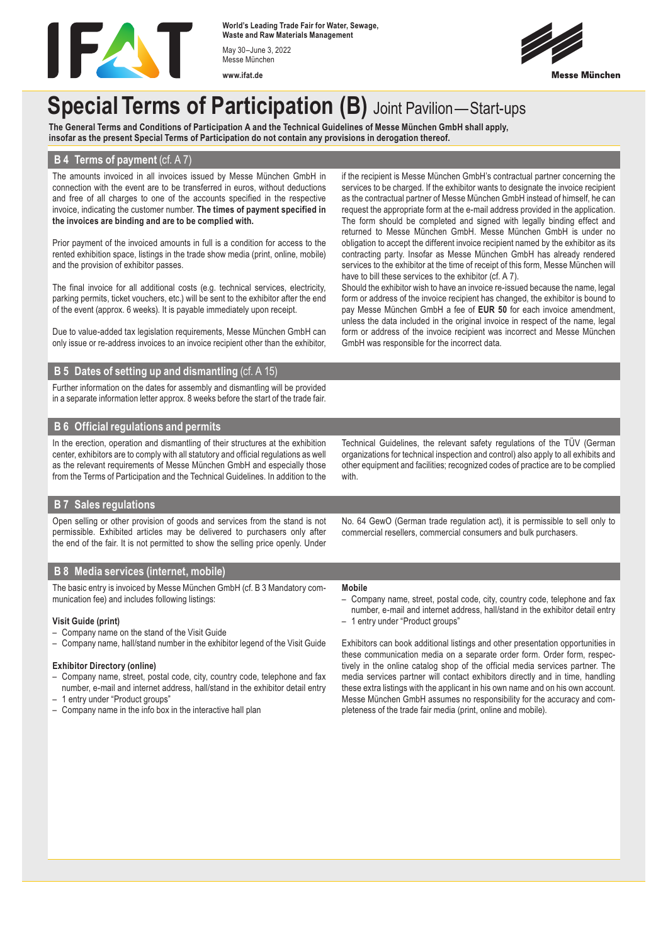

**World's Leading Trade Fair for Water, Sewage, Waste and Raw Materials Management** May 30–June 3, 2022 Messe München

**www.ifat.de**



# **Special Terms of Participation (B)** Joint Pavilion—Start-ups

**The General Terms and Conditions of Participation A and the Technical Guidelines of Messe München GmbH shall apply, insofar as the present Special Terms of Participation do not contain any provisions in derogation thereof.**

#### **B 4 Terms of payment** (cf. A 7)

The amounts invoiced in all invoices issued by Messe München GmbH in connection with the event are to be transferred in euros, without deductions and free of all charges to one of the accounts specified in the respective invoice, indicating the customer number. **The times of payment specified in the invoices are binding and are to be complied with.**

Prior payment of the invoiced amounts in full is a condition for access to the rented exhibition space, listings in the trade show media (print, online, mobile) and the provision of exhibitor passes.

The final invoice for all additional costs (e.g. technical services, electricity, parking permits, ticket vouchers, etc.) will be sent to the exhibitor after the end of the event (approx. 6 weeks). It is payable immediately upon receipt.

Due to value-added tax legislation requirements, Messe München GmbH can only issue or re-address invoices to an invoice recipient other than the exhibitor,

#### **B 5 Dates of setting up and dismantling** (cf. A 15)

Further information on the dates for assembly and dismantling will be provided in a separate information letter approx. 8 weeks before the start of the trade fair.

## **B 6 Official regulations and permits**

In the erection, operation and dismantling of their structures at the exhibition center, exhibitors are to comply with all statutory and official regulations as well as the relevant requirements of Messe München GmbH and especially those from the Terms of Participation and the Technical Guidelines. In addition to the

#### request the appropriate form at the e-mail address provided in the application. The form should be completed and signed with legally binding effect and returned to Messe München GmbH. Messe München GmbH is under no obligation to accept the different invoice recipient named by the exhibitor as its contracting party. Insofar as Messe München GmbH has already rendered services to the exhibitor at the time of receipt of this form, Messe München will have to bill these services to the exhibitor (cf. A 7). Should the exhibitor wish to have an invoice re-issued because the name, legal form or address of the invoice recipient has changed, the exhibitor is bound to

if the recipient is Messe München GmbH's contractual partner concerning the services to be charged. If the exhibitor wants to designate the invoice recipient as the contractual partner of Messe München GmbH instead of himself, he can

pay Messe München GmbH a fee of **EUR 50** for each invoice amendment, unless the data included in the original invoice in respect of the name, legal form or address of the invoice recipient was incorrect and Messe München GmbH was responsible for the incorrect data.

## **B 7 Sales regulations**

Open selling or other provision of goods and services from the stand is not permissible. Exhibited articles may be delivered to purchasers only after the end of the fair. It is not permitted to show the selling price openly. Under

#### **B 8 Media services (internet, mobile)**

The basic entry is invoiced by Messe München GmbH (cf. B 3 Mandatory communication fee) and includes following listings:

#### **Visit Guide (print)**

- Company name on the stand of the Visit Guide
- Company name, hall/stand number in the exhibitor legend of the Visit Guide

#### **Exhibitor Directory (online)**

- Company name, street, postal code, city, country code, telephone and fax number, e-mail and internet address, hall/stand in the exhibitor detail entry
- 1 entry under "Product groups"
- Company name in the info box in the interactive hall plan

Technical Guidelines, the relevant safety regulations of the TÜV (German organizations for technical inspection and control) also apply to all exhibits and other equipment and facilities; recognized codes of practice are to be complied with.

No. 64 GewO (German trade regulation act), it is permissible to sell only to commercial resellers, commercial consumers and bulk purchasers.

#### **Mobile**

- Company name, street, postal code, city, country code, telephone and fax number, e-mail and internet address, hall/stand in the exhibitor detail entry
- 1 entry under "Product groups"

Exhibitors can book additional listings and other presentation opportunities in these communication media on a separate order form. Order form, respectively in the online catalog shop of the official media services partner. The media services partner will contact exhibitors directly and in time, handling these extra listings with the applicant in his own name and on his own account. Messe München GmbH assumes no responsibility for the accuracy and completeness of the trade fair media (print, online and mobile).